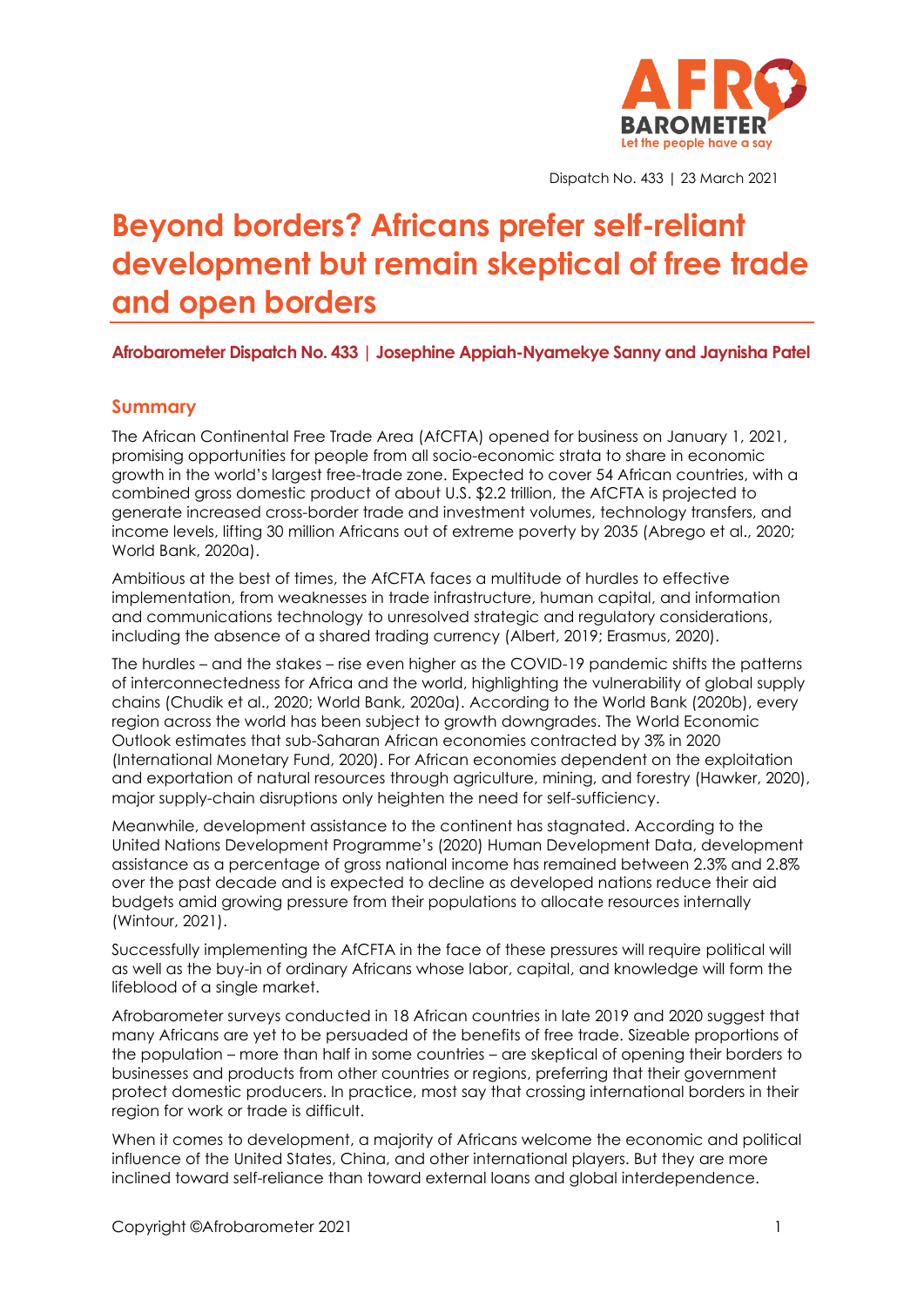

Dispatch No. 433 | 23 March 2021

# **Beyond borders? Africans prefer self-reliant development but remain skeptical of free trade and open borders**

### **Afrobarometer Dispatch No. 433 | Josephine Appiah-Nyamekye Sanny and Jaynisha Patel**

### **Summary**

The African Continental Free Trade Area (AfCFTA) opened for business on January 1, 2021, promising opportunities for people from all socio-economic strata to share in economic growth in the world's largest free-trade zone. Expected to cover 54 African countries, with a combined gross domestic product of about U.S. \$2.2 trillion, the AfCFTA is projected to generate increased cross-border trade and investment volumes, technology transfers, and income levels, lifting 30 million Africans out of extreme poverty by 2035 (Abrego et al., 2020; World Bank, 2020a).

Ambitious at the best of times, the AfCFTA faces a multitude of hurdles to effective implementation, from weaknesses in trade infrastructure, human capital, and information and communications technology to unresolved strategic and regulatory considerations, including the absence of a shared trading currency (Albert, 2019; Erasmus, 2020).

The hurdles – and the stakes – rise even higher as the COVID-19 pandemic shifts the patterns of interconnectedness for Africa and the world, highlighting the vulnerability of global supply chains (Chudik et al., 2020; World Bank, 2020a). According to the World Bank (2020b), every region across the world has been subject to growth downgrades. The World Economic Outlook estimates that sub-Saharan African economies contracted by 3% in 2020 (International Monetary Fund, 2020). For African economies dependent on the exploitation and exportation of natural resources through agriculture, mining, and forestry (Hawker, 2020), major supply-chain disruptions only heighten the need for self-sufficiency.

Meanwhile, development assistance to the continent has stagnated. According to the United Nations Development Programme's (2020) Human Development Data, development assistance as a percentage of gross national income has remained between 2.3% and 2.8% over the past decade and is expected to decline as developed nations reduce their aid budgets amid growing pressure from their populations to allocate resources internally (Wintour, 2021).

Successfully implementing the AfCFTA in the face of these pressures will require political will as well as the buy-in of ordinary Africans whose labor, capital, and knowledge will form the lifeblood of a single market.

Afrobarometer surveys conducted in 18 African countries in late 2019 and 2020 suggest that many Africans are yet to be persuaded of the benefits of free trade. Sizeable proportions of the population – more than half in some countries – are skeptical of opening their borders to businesses and products from other countries or regions, preferring that their government protect domestic producers. In practice, most say that crossing international borders in their region for work or trade is difficult.

When it comes to development, a majority of Africans welcome the economic and political influence of the United States, China, and other international players. But they are more inclined toward self-reliance than toward external loans and global interdependence.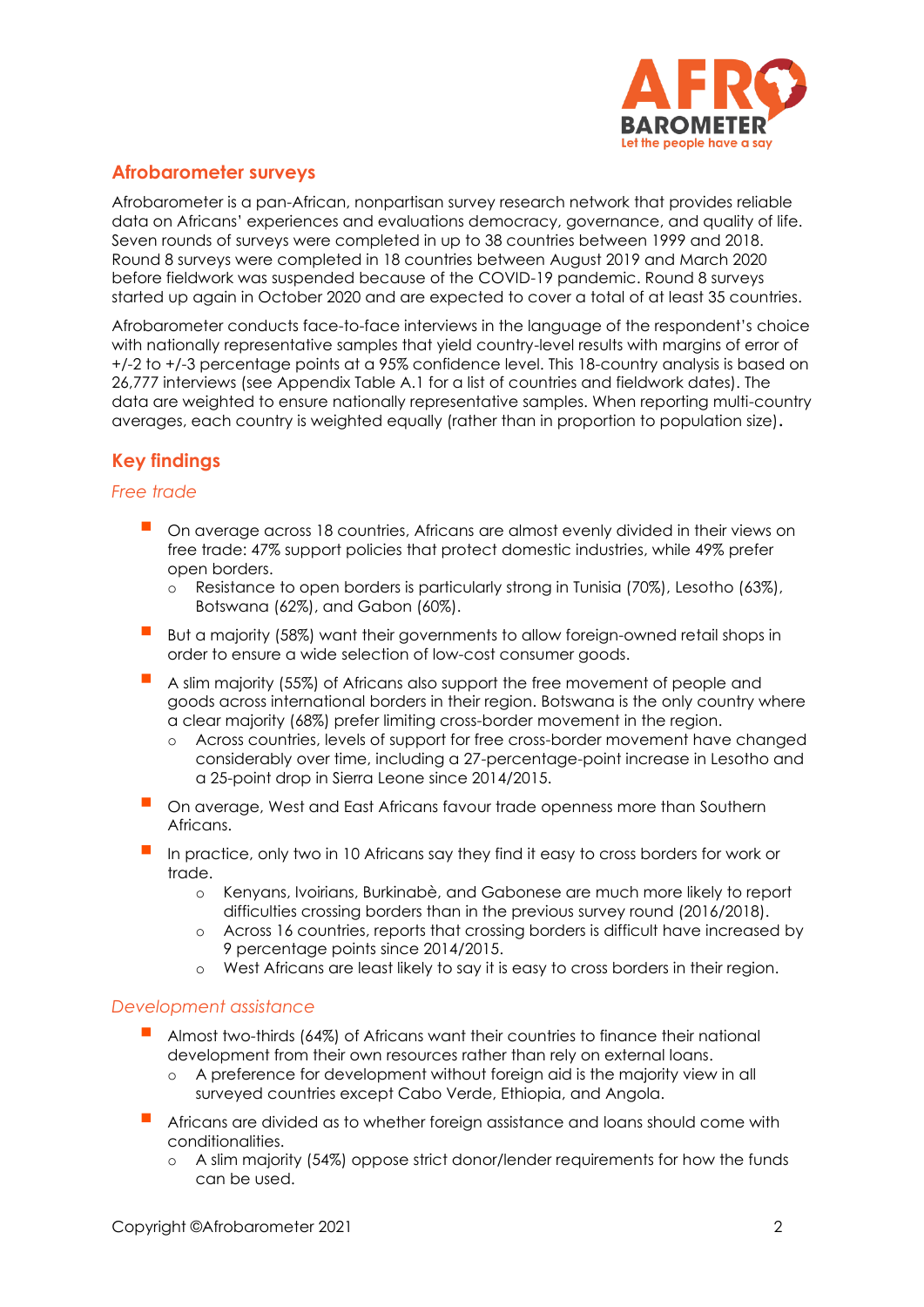

## **Afrobarometer surveys**

Afrobarometer is a pan-African, nonpartisan survey research network that provides reliable data on Africans' experiences and evaluations democracy, governance, and quality of life. Seven rounds of surveys were completed in up to 38 countries between 1999 and 2018. Round 8 surveys were completed in 18 countries between August 2019 and March 2020 before fieldwork was suspended because of the COVID-19 pandemic. Round 8 surveys started up again in October 2020 and are expected to cover a total of at least 35 countries.

Afrobarometer conducts face-to-face interviews in the language of the respondent's choice with nationally representative samples that yield country-level results with margins of error of +/-2 to +/-3 percentage points at a 95% confidence level. This 18-country analysis is based on 26,777 interviews (see Appendix Table A.1 for a list of countries and fieldwork dates). The data are weighted to ensure nationally representative samples. When reporting multi-country averages, each country is weighted equally (rather than in proportion to population size)**.**

# **Key findings**

### *Free trade*

- On average across 18 countries, Africans are almost evenly divided in their views on free trade: 47% support policies that protect domestic industries, while 49% prefer open borders.
	- o Resistance to open borders is particularly strong in Tunisia (70%), Lesotho (63%), Botswana (62%), and Gabon (60%).
- But a majority (58%) want their governments to allow foreign-owned retail shops in order to ensure a wide selection of low-cost consumer goods.
- A slim majority (55%) of Africans also support the free movement of people and goods across international borders in their region. Botswana is the only country where a clear majority (68%) prefer limiting cross-border movement in the region.
	- o Across countries, levels of support for free cross-border movement have changed considerably over time, including a 27-percentage-point increase in Lesotho and a 25-point drop in Sierra Leone since 2014/2015.
- On average, West and East Africans favour trade openness more than Southern Africans.
- In practice, only two in 10 Africans say they find it easy to cross borders for work or trade.
	- o Kenyans, Ivoirians, Burkinabè, and Gabonese are much more likely to report difficulties crossing borders than in the previous survey round (2016/2018).
	- o Across 16 countries, reports that crossing borders is difficult have increased by 9 percentage points since 2014/2015.
	- o West Africans are least likely to say it is easy to cross borders in their region.

### *Development assistance*

- Almost two-thirds (64%) of Africans want their countries to finance their national development from their own resources rather than rely on external loans.
	- o A preference for development without foreign aid is the majority view in all surveyed countries except Cabo Verde, Ethiopia, and Angola.
- Africans are divided as to whether foreign assistance and loans should come with conditionalities.
	- o A slim majority (54%) oppose strict donor/lender requirements for how the funds can be used.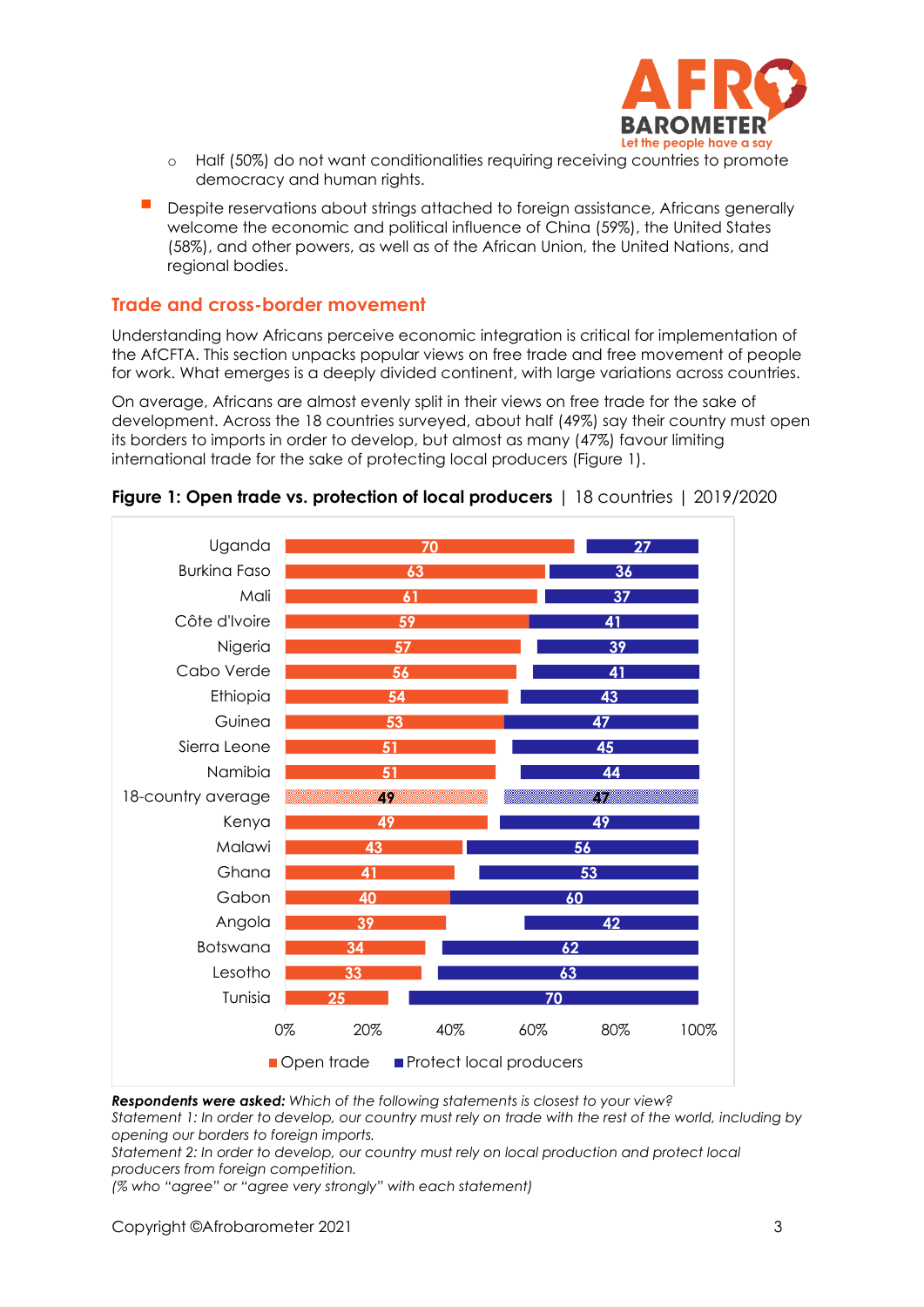

- o Half (50%) do not want conditionalities requiring receiving countries to promote democracy and human rights.
- Despite reservations about strings attached to foreign assistance, Africans generally welcome the economic and political influence of China (59%), the United States (58%), and other powers, as well as of the African Union, the United Nations, and regional bodies.

### **Trade and cross-border movement**

Understanding how Africans perceive economic integration is critical for implementation of the AfCFTA. This section unpacks popular views on free trade and free movement of people for work. What emerges is a deeply divided continent, with large variations across countries.

On average, Africans are almost evenly split in their views on free trade for the sake of development. Across the 18 countries surveyed, about half (49%) say their country must open its borders to imports in order to develop, but almost as many (47%) favour limiting international trade for the sake of protecting local producers (Figure 1).





*Respondents were asked: Which of the following statements is closest to your view?* 

*Statement 1: In order to develop, our country must rely on trade with the rest of the world, including by opening our borders to foreign imports.* 

*Statement 2: In order to develop, our country must rely on local production and protect local producers from foreign competition.* 

*(% who "agree" or "agree very strongly" with each statement)*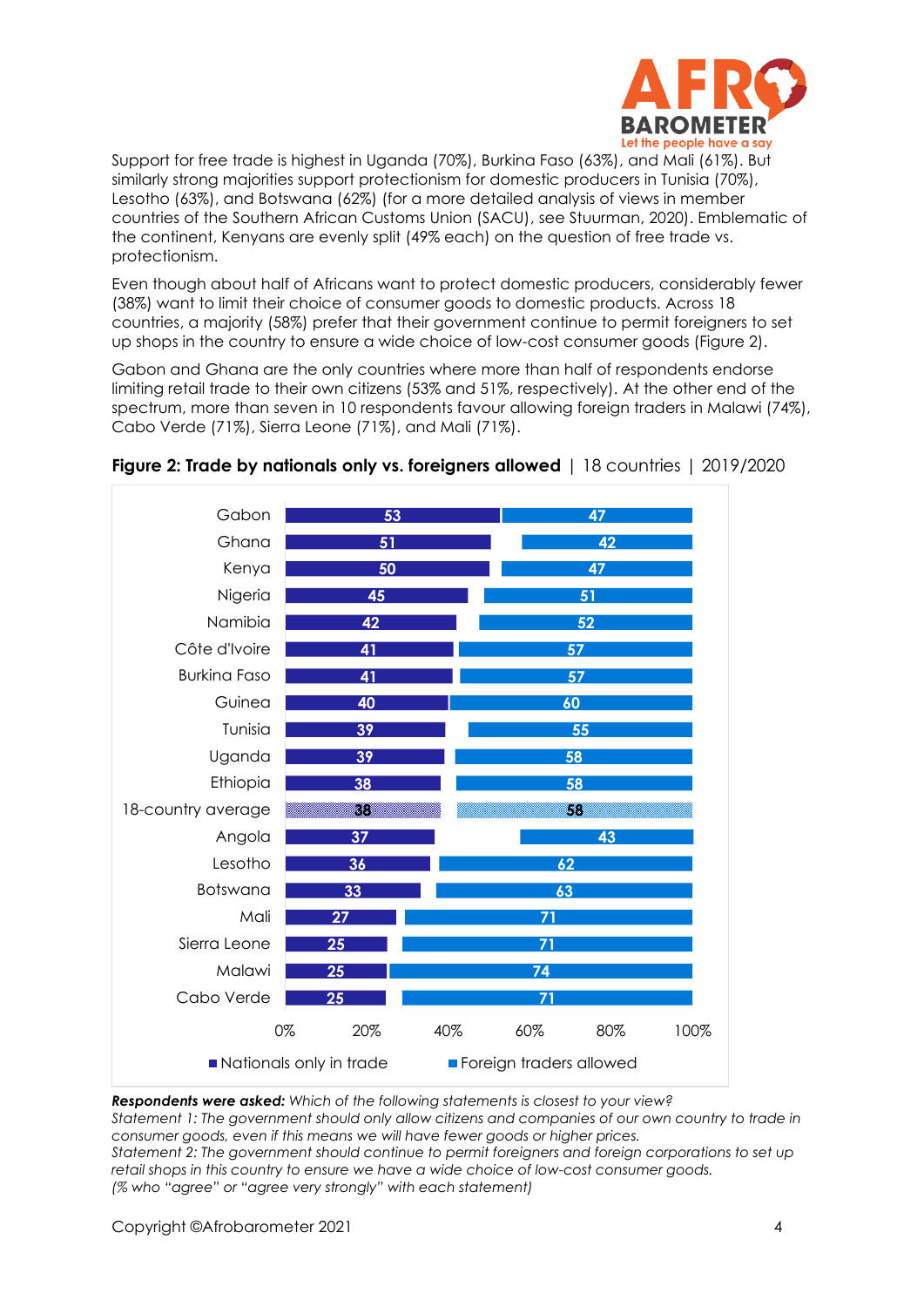

Support for free trade is highest in Uganda (70%), Burkina Faso (63%), and Mali (61%). But similarly strong majorities support protectionism for domestic producers in Tunisia (70%), Lesotho (63%), and Botswana (62%) (for a more detailed analysis of views in member countries of the Southern African Customs Union (SACU), see Stuurman, 2020). Emblematic of the continent, Kenyans are evenly split (49% each) on the question of free trade vs. protectionism.

Even though about half of Africans want to protect domestic producers, considerably fewer (38%) want to limit their choice of consumer goods to domestic products. Across 18 countries, a majority (58%) prefer that their government continue to permit foreigners to set up shops in the country to ensure a wide choice of low-cost consumer goods (Figure 2).

Gabon and Ghana are the only countries where more than half of respondents endorse limiting retail trade to their own citizens (53% and 51%, respectively). At the other end of the spectrum, more than seven in 10 respondents favour allowing foreign traders in Malawi (74%), Cabo Verde (71%), Sierra Leone (71%), and Mali (71%).



### **Figure 2: Trade by nationals only vs. foreigners allowed** | 18 countries | 2019/2020

*Respondents were asked: Which of the following statements is closest to your view? Statement 1: The government should only allow citizens and companies of our own country to trade in consumer goods, even if this means we will have fewer goods or higher prices. Statement 2: The government should continue to permit foreigners and foreign corporations to set up retail shops in this country to ensure we have a wide choice of low-cost consumer goods. (% who "agree" or "agree very strongly" with each statement)*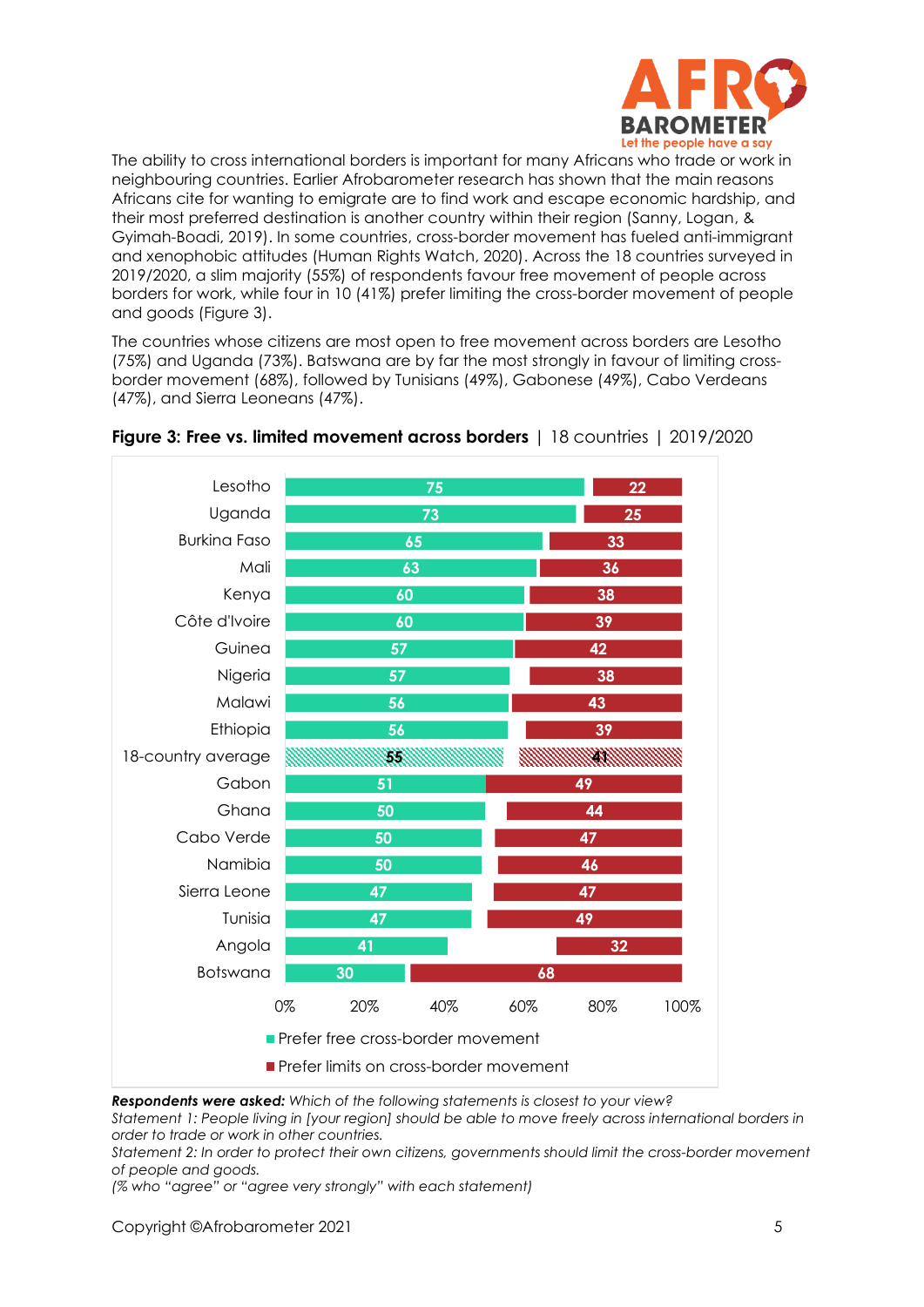

The ability to cross international borders is important for many Africans who trade or work in neighbouring countries. Earlier Afrobarometer research has shown that the main reasons Africans cite for wanting to emigrate are to find work and escape economic hardship, and their most preferred destination is another country within their region (Sanny, Logan, & Gyimah-Boadi, 2019). In some countries, cross-border movement has fueled anti-immigrant and xenophobic attitudes (Human Rights Watch, 2020). Across the 18 countries surveyed in 2019/2020, a slim majority (55%) of respondents favour free movement of people across borders for work, while four in 10 (41%) prefer limiting the cross-border movement of people and goods (Figure 3).

The countries whose citizens are most open to free movement across borders are Lesotho (75%) and Uganda (73%). Batswana are by far the most strongly in favour of limiting crossborder movement (68%), followed by Tunisians (49%), Gabonese (49%), Cabo Verdeans (47%), and Sierra Leoneans (47%).



### **Figure 3: Free vs. limited movement across borders** | 18 countries | 2019/2020

*Respondents were asked: Which of the following statements is closest to your view?* 

*Statement 1: People living in [your region] should be able to move freely across international borders in order to trade or work in other countries.* 

*Statement 2: In order to protect their own citizens, governments should limit the cross-border movement of people and goods.* 

*(% who "agree" or "agree very strongly" with each statement)*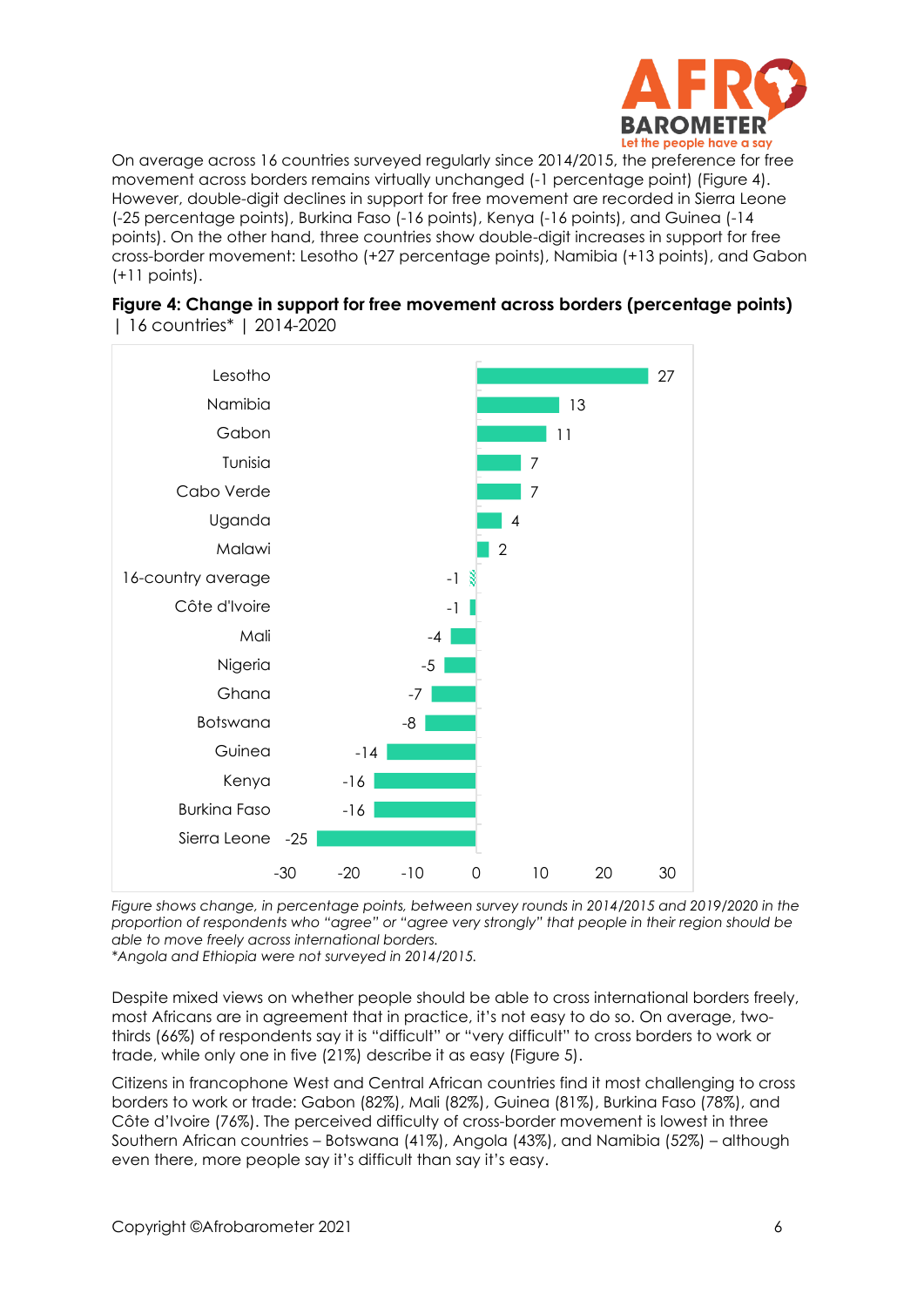

On average across 16 countries surveyed regularly since 2014/2015, the preference for free movement across borders remains virtually unchanged (-1 percentage point) (Figure 4). However, double-digit declines in support for free movement are recorded in Sierra Leone (-25 percentage points), Burkina Faso (-16 points), Kenya (-16 points), and Guinea (-14 points). On the other hand, three countries show double-digit increases in support for free cross-border movement: Lesotho (+27 percentage points), Namibia (+13 points), and Gabon (+11 points).

| Lesotho             |       |       |                |                |    |    |
|---------------------|-------|-------|----------------|----------------|----|----|
|                     |       |       |                |                |    | 27 |
| Namibia             |       |       |                |                | 13 |    |
| Gabon               |       |       |                | 11             |    |    |
| Tunisia             |       |       |                | $\overline{7}$ |    |    |
| Cabo Verde          |       |       |                | 7              |    |    |
| Uganda              |       |       |                | $\overline{4}$ |    |    |
| Malawi              |       |       | $\overline{2}$ |                |    |    |
| 16-country average  |       |       | $-1$           |                |    |    |
| Côte d'Ivoire       |       |       | $-1$           |                |    |    |
| Mali                |       | $-4$  |                |                |    |    |
| Nigeria             |       | $-5$  |                |                |    |    |
| Ghana               |       | $-7$  |                |                |    |    |
| Botswana            |       | -8    |                |                |    |    |
| Guinea              | $-14$ |       |                |                |    |    |
| Kenya               | $-16$ |       |                |                |    |    |
| <b>Burkina Faso</b> | -16   |       |                |                |    |    |
| Sierra Leone        | $-25$ |       |                |                |    |    |
| $-30$               | $-20$ | $-10$ | $\mathbf 0$    | 10             | 20 | 30 |

|  |                           |  | Figure 4: Change in support for free movement across borders (percentage points) |
|--|---------------------------|--|----------------------------------------------------------------------------------|
|  | 16 countries*   2014-2020 |  |                                                                                  |

*Figure shows change, in percentage points, between survey rounds in 2014/2015 and 2019/2020 in the proportion of respondents who "agree" or "agree very strongly" that people in their region should be able to move freely across international borders. \*Angola and Ethiopia were not surveyed in 2014/2015.* 

Despite mixed views on whether people should be able to cross international borders freely, most Africans are in agreement that in practice, it's not easy to do so. On average, twothirds (66%) of respondents say it is "difficult" or "very difficult" to cross borders to work or trade, while only one in five (21%) describe it as easy (Figure 5).

Citizens in francophone West and Central African countries find it most challenging to cross borders to work or trade: Gabon (82%), Mali (82%), Guinea (81%), Burkina Faso (78%), and Côte d'Ivoire (76%). The perceived difficulty of cross-border movement is lowest in three Southern African countries – Botswana (41%), Angola (43%), and Namibia (52%) – although even there, more people say it's difficult than say it's easy.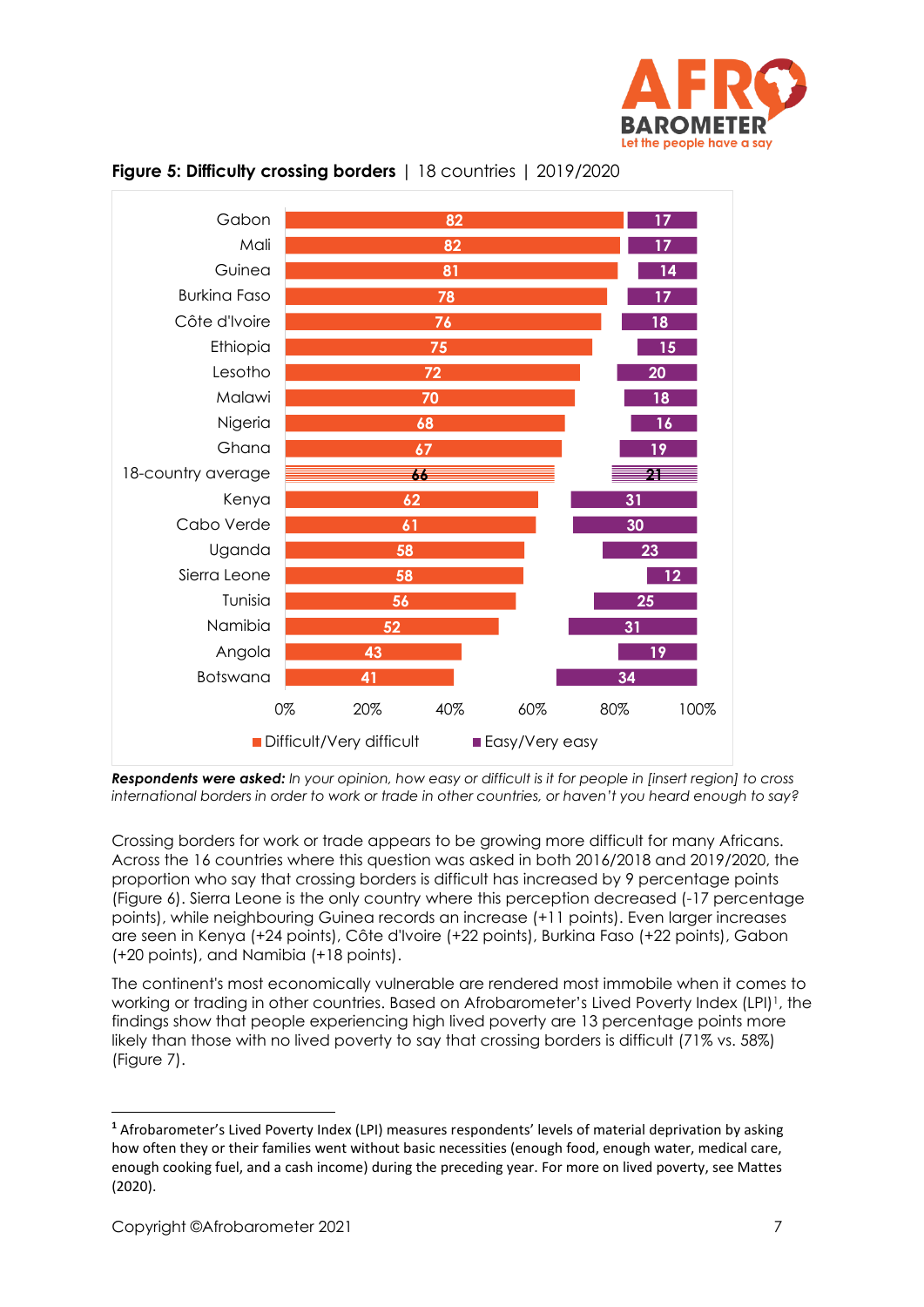





*Respondents were asked: In your opinion, how easy or difficult is it for people in [insert region] to cross international borders in order to work or trade in other countries, or haven't you heard enough to say?*

Crossing borders for work or trade appears to be growing more difficult for many Africans. Across the 16 countries where this question was asked in both 2016/2018 and 2019/2020, the proportion who say that crossing borders is difficult has increased by 9 percentage points (Figure 6). Sierra Leone is the only country where this perception decreased (-17 percentage points), while neighbouring Guinea records an increase (+11 points). Even larger increases are seen in Kenya (+24 points), Côte d'Ivoire (+22 points), Burkina Faso (+22 points), Gabon (+20 points), and Namibia (+18 points).

The continent's most economically vulnerable are rendered most immobile when it comes to working or trading in other countries. Based on Afrobarometer's Lived Poverty Index (LPI)1, the findings show that people experiencing high lived poverty are 13 percentage points more likely than those with no lived poverty to say that crossing borders is difficult (71% vs. 58%) (Figure 7).

**<sup>1</sup>** Afrobarometer's Lived Poverty Index (LPI) measures respondents' levels of material deprivation by asking how often they or their families went without basic necessities (enough food, enough water, medical care, enough cooking fuel, and a cash income) during the preceding year. For more on lived poverty, see Mattes (2020).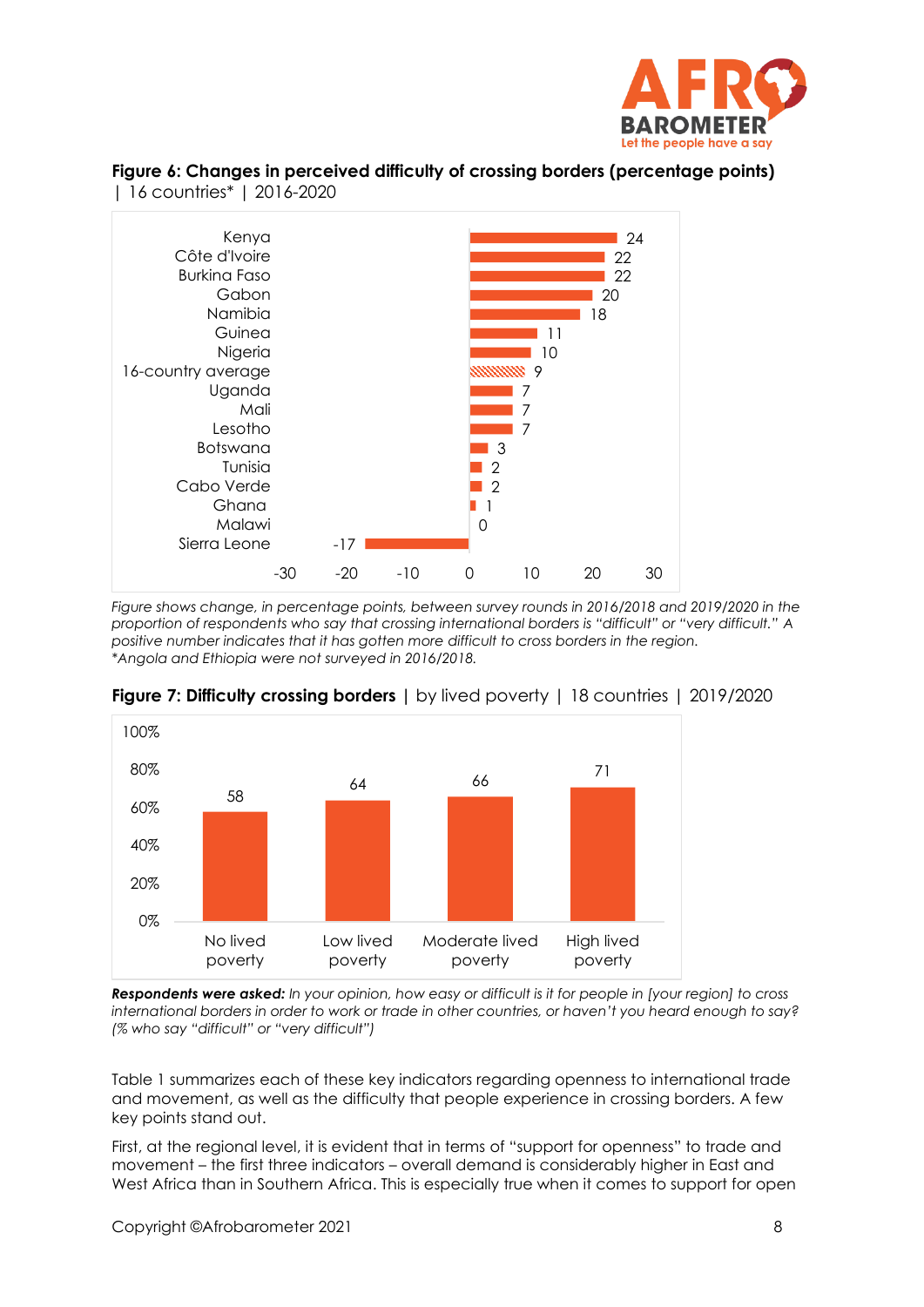

### **Figure 6: Changes in perceived difficulty of crossing borders (percentage points)**  | 16 countries\* | 2016-2020



*Figure shows change, in percentage points, between survey rounds in 2016/2018 and 2019/2020 in the proportion of respondents who say that crossing international borders is "difficult" or "very difficult." A positive number indicates that it has gotten more difficult to cross borders in the region. \*Angola and Ethiopia were not surveyed in 2016/2018.* 





*Respondents were asked: In your opinion, how easy or difficult is it for people in [your region] to cross international borders in order to work or trade in other countries, or haven't you heard enough to say? (% who say "difficult" or "very difficult")*

Table 1 summarizes each of these key indicators regarding openness to international trade and movement, as well as the difficulty that people experience in crossing borders. A few key points stand out.

First, at the regional level, it is evident that in terms of "support for openness" to trade and movement – the first three indicators – overall demand is considerably higher in East and West Africa than in Southern Africa. This is especially true when it comes to support for open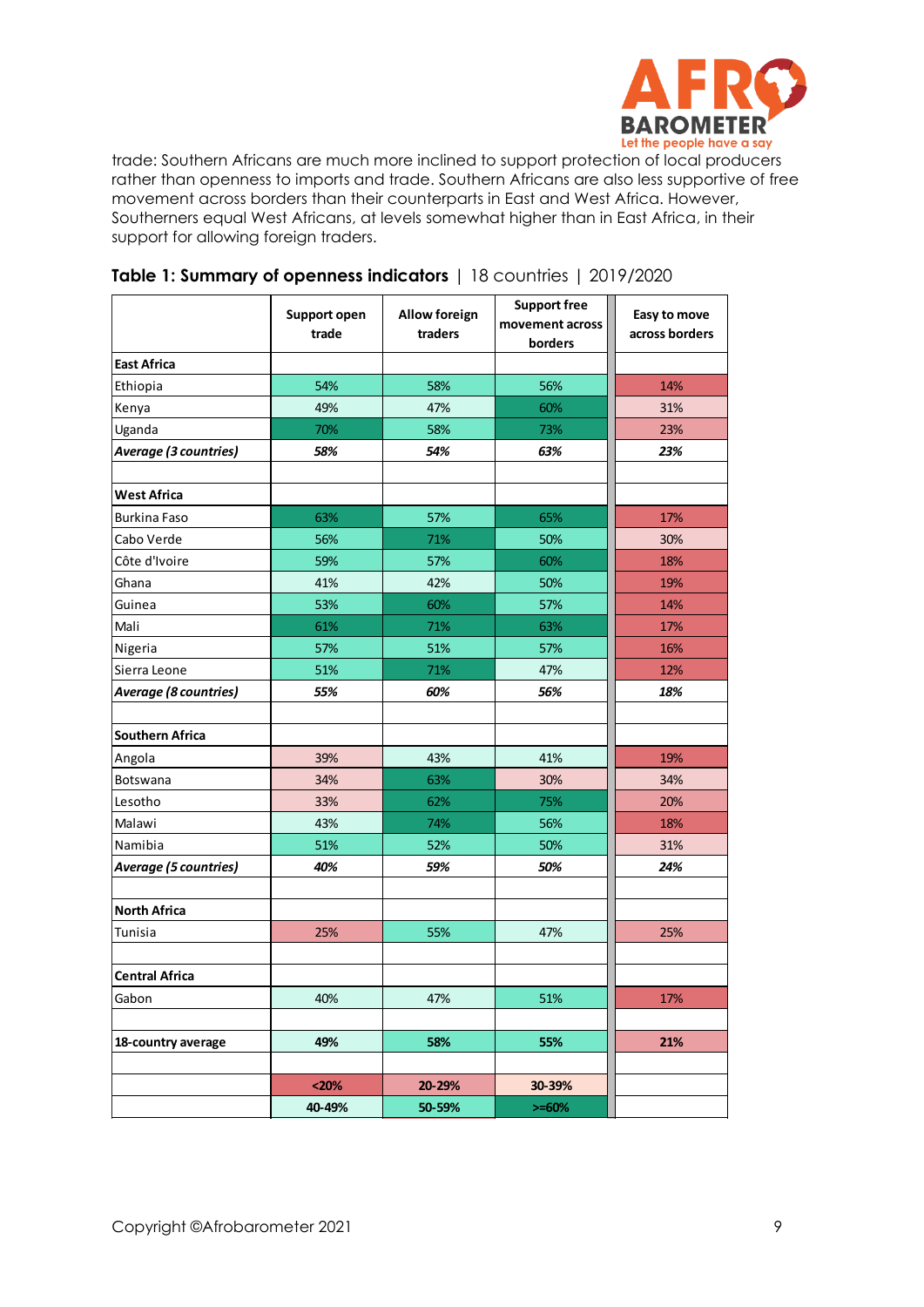

trade: Southern Africans are much more inclined to support protection of local producers rather than openness to imports and trade. Southern Africans are also less supportive of free movement across borders than their counterparts in East and West Africa. However, Southerners equal West Africans, at levels somewhat higher than in East Africa, in their support for allowing foreign traders.

|                              | Support open<br>trade | <b>Allow foreign</b><br>traders | <b>Support free</b><br>movement across<br>borders | Easy to move<br>across borders |
|------------------------------|-----------------------|---------------------------------|---------------------------------------------------|--------------------------------|
| <b>East Africa</b>           |                       |                                 |                                                   |                                |
| Ethiopia                     | 54%                   | 58%                             | 56%                                               | 14%                            |
| Kenya                        | 49%                   | 47%                             | 60%                                               | 31%                            |
| Uganda                       | 70%                   | 58%                             | 73%                                               | 23%                            |
| Average (3 countries)        | 58%                   | 54%                             | 63%                                               | 23%                            |
| <b>West Africa</b>           |                       |                                 |                                                   |                                |
| <b>Burkina Faso</b>          | 63%                   | 57%                             | 65%                                               | 17%                            |
| Cabo Verde                   | 56%                   | 71%                             | 50%                                               | 30%                            |
| Côte d'Ivoire                | 59%                   | 57%                             | 60%                                               | 18%                            |
| Ghana                        | 41%                   | 42%                             | 50%                                               | 19%                            |
| Guinea                       | 53%                   | 60%                             | 57%                                               | 14%                            |
| Mali                         | 61%                   | 71%                             | 63%                                               | 17%                            |
| Nigeria                      | 57%                   | 51%                             | 57%                                               | 16%                            |
| Sierra Leone                 | 51%                   | 71%                             | 47%                                               | 12%                            |
| Average (8 countries)        | 55%                   | 60%                             | 56%                                               | 18%                            |
| <b>Southern Africa</b>       |                       |                                 |                                                   |                                |
| Angola                       | 39%                   | 43%                             | 41%                                               | 19%                            |
| Botswana                     | 34%                   | 63%                             | 30%                                               | 34%                            |
| Lesotho                      | 33%                   | 62%                             | 75%                                               | 20%                            |
| Malawi                       | 43%                   | 74%                             | 56%                                               | 18%                            |
| Namibia                      | 51%                   | 52%                             | 50%                                               | 31%                            |
| <b>Average (5 countries)</b> | 40%                   | 59%                             | 50%                                               | 24%                            |
| <b>North Africa</b>          |                       |                                 |                                                   |                                |
| Tunisia                      | 25%                   | 55%                             | 47%                                               | 25%                            |
|                              |                       |                                 |                                                   |                                |
| <b>Central Africa</b>        |                       |                                 |                                                   |                                |
| Gabon                        | 40%                   | 47%                             | 51%                                               | 17%                            |
| 18-country average           | 49%                   | 58%                             | 55%                                               | 21%                            |
|                              |                       |                                 |                                                   |                                |
|                              | < 20%                 | 20-29%                          | 30-39%                                            |                                |
|                              | 40-49%                | 50-59%                          | $>= 60%$                                          |                                |

### **Table 1: Summary of openness indicators** | 18 countries | 2019/2020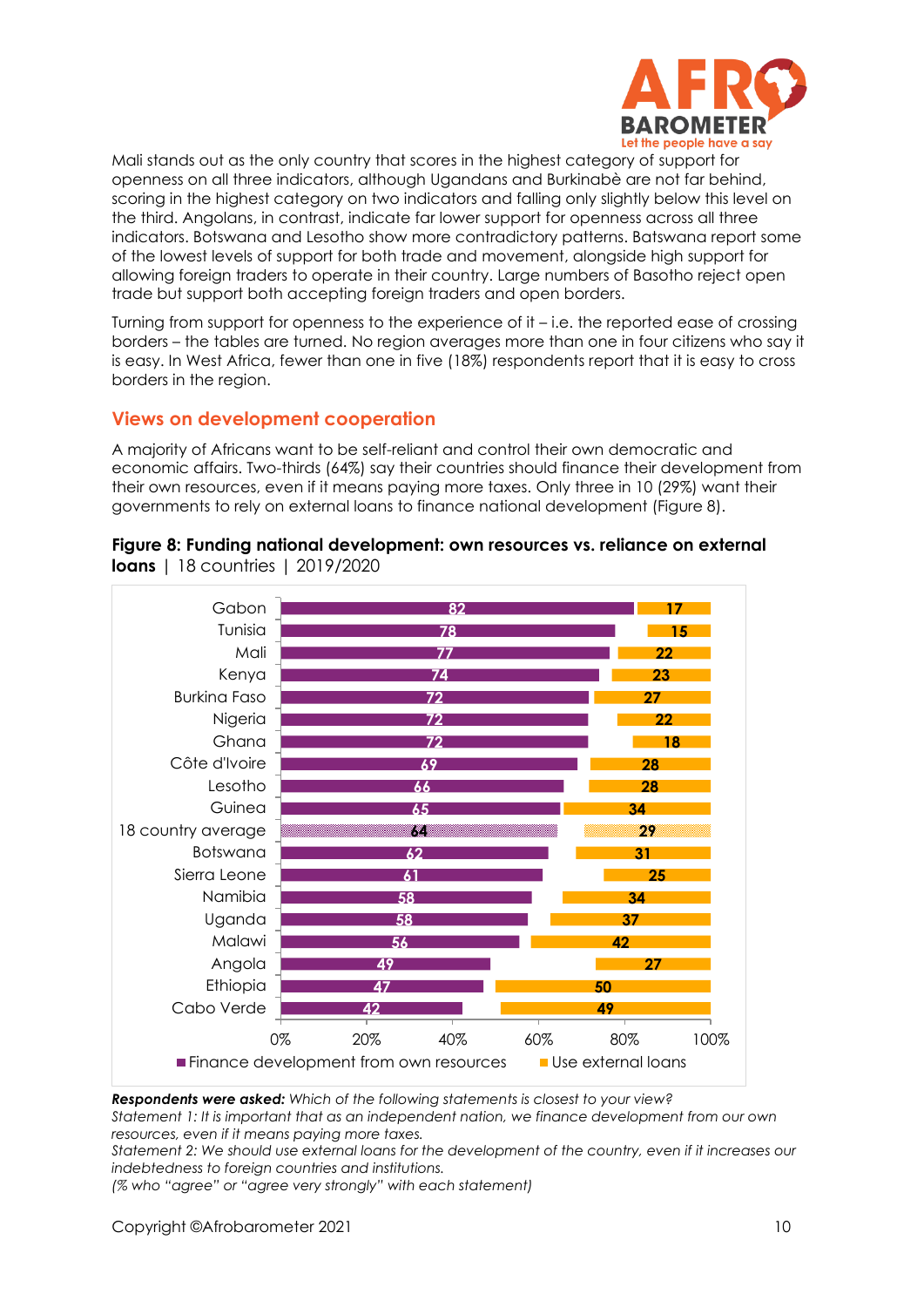

Mali stands out as the only country that scores in the highest category of support for openness on all three indicators, although Ugandans and Burkinabè are not far behind, scoring in the highest category on two indicators and falling only slightly below this level on the third. Angolans, in contrast, indicate far lower support for openness across all three indicators. Botswana and Lesotho show more contradictory patterns. Batswana report some of the lowest levels of support for both trade and movement, alongside high support for allowing foreign traders to operate in their country. Large numbers of Basotho reject open trade but support both accepting foreign traders and open borders.

Turning from support for openness to the experience of it – i.e. the reported ease of crossing borders – the tables are turned. No region averages more than one in four citizens who say it is easy. In West Africa, fewer than one in five (18%) respondents report that it is easy to cross borders in the region.

### **Views on development cooperation**

A majority of Africans want to be self-reliant and control their own democratic and economic affairs. Two-thirds (64%) say their countries should finance their development from their own resources, even if it means paying more taxes. Only three in 10 (29%) want their governments to rely on external loans to finance national development (Figure 8).



# **Figure 8: Funding national development: own resources vs. reliance on external**

**loans** | 18 countries | 2019/2020

*Respondents were asked: Which of the following statements is closest to your view?* 

*Statement 1: It is important that as an independent nation, we finance development from our own resources, even if it means paying more taxes.* 

*Statement 2: We should use external loans for the development of the country, even if it increases our indebtedness to foreign countries and institutions.* 

*(% who "agree" or "agree very strongly" with each statement)*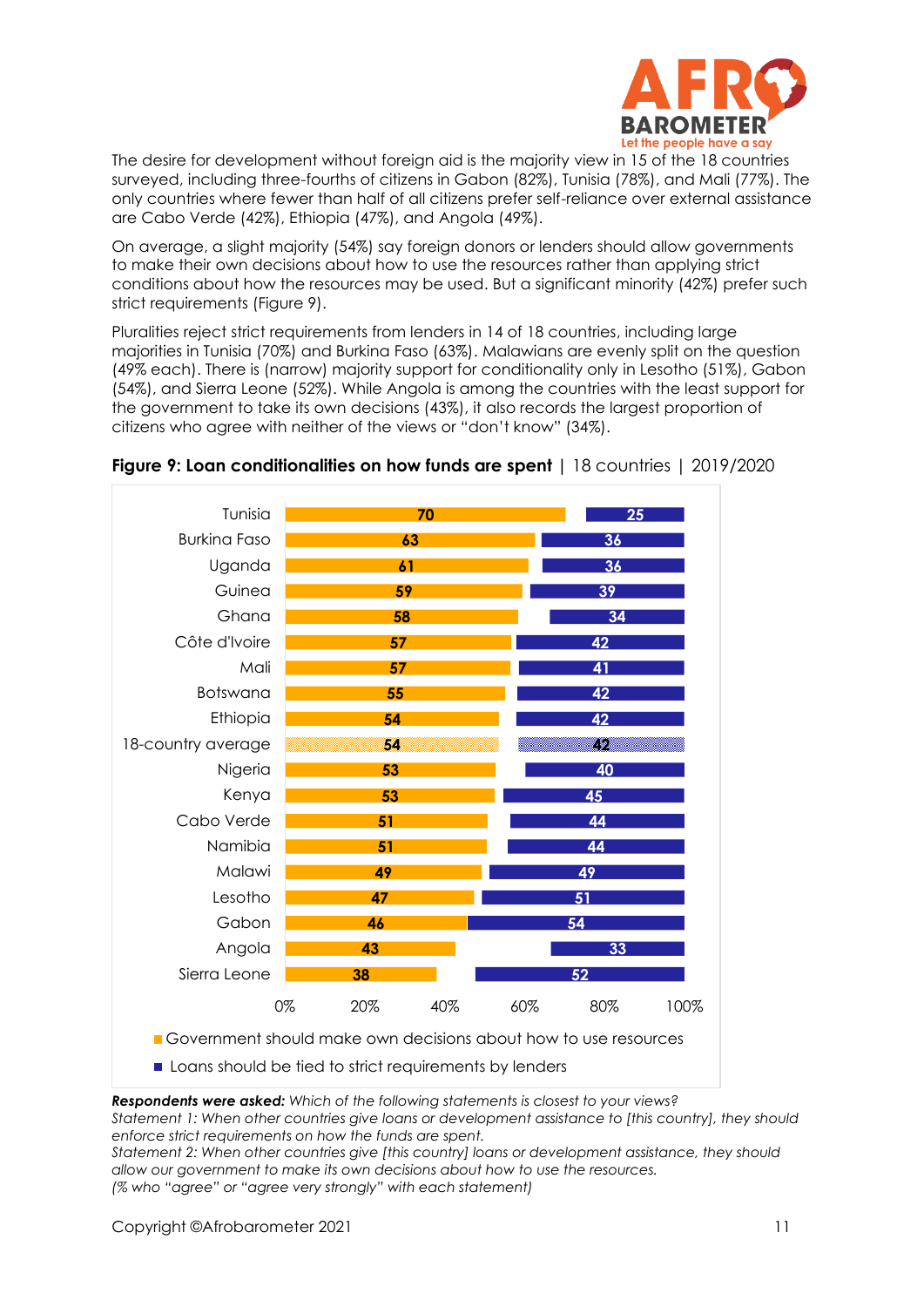

The desire for development without foreign aid is the majority view in 15 of the 18 countries surveyed, including three-fourths of citizens in Gabon (82%), Tunisia (78%), and Mali (77%). The only countries where fewer than half of all citizens prefer self-reliance over external assistance are Cabo Verde (42%), Ethiopia (47%), and Angola (49%).

On average, a slight majority (54%) say foreign donors or lenders should allow governments to make their own decisions about how to use the resources rather than applying strict conditions about how the resources may be used. But a significant minority (42%) prefer such strict requirements (Figure 9).

Pluralities reject strict requirements from lenders in 14 of 18 countries, including large majorities in Tunisia (70%) and Burkina Faso (63%). Malawians are evenly split on the question (49% each). There is (narrow) majority support for conditionality only in Lesotho (51%), Gabon (54%), and Sierra Leone (52%). While Angola is among the countries with the least support for the government to take its own decisions (43%), it also records the largest proportion of citizens who agree with neither of the views or "don't know" (34%).



### **Figure 9: Loan conditionalities on how funds are spent |** 18 countries | 2019/2020

Loans should be tied to strict requirements by lenders

*Respondents were asked: Which of the following statements is closest to your views? Statement 1: When other countries give loans or development assistance to [this country], they should enforce strict requirements on how the funds are spent.* 

*Statement 2: When other countries give [this country] loans or development assistance, they should allow our government to make its own decisions about how to use the resources. (% who "agree" or "agree very strongly" with each statement)*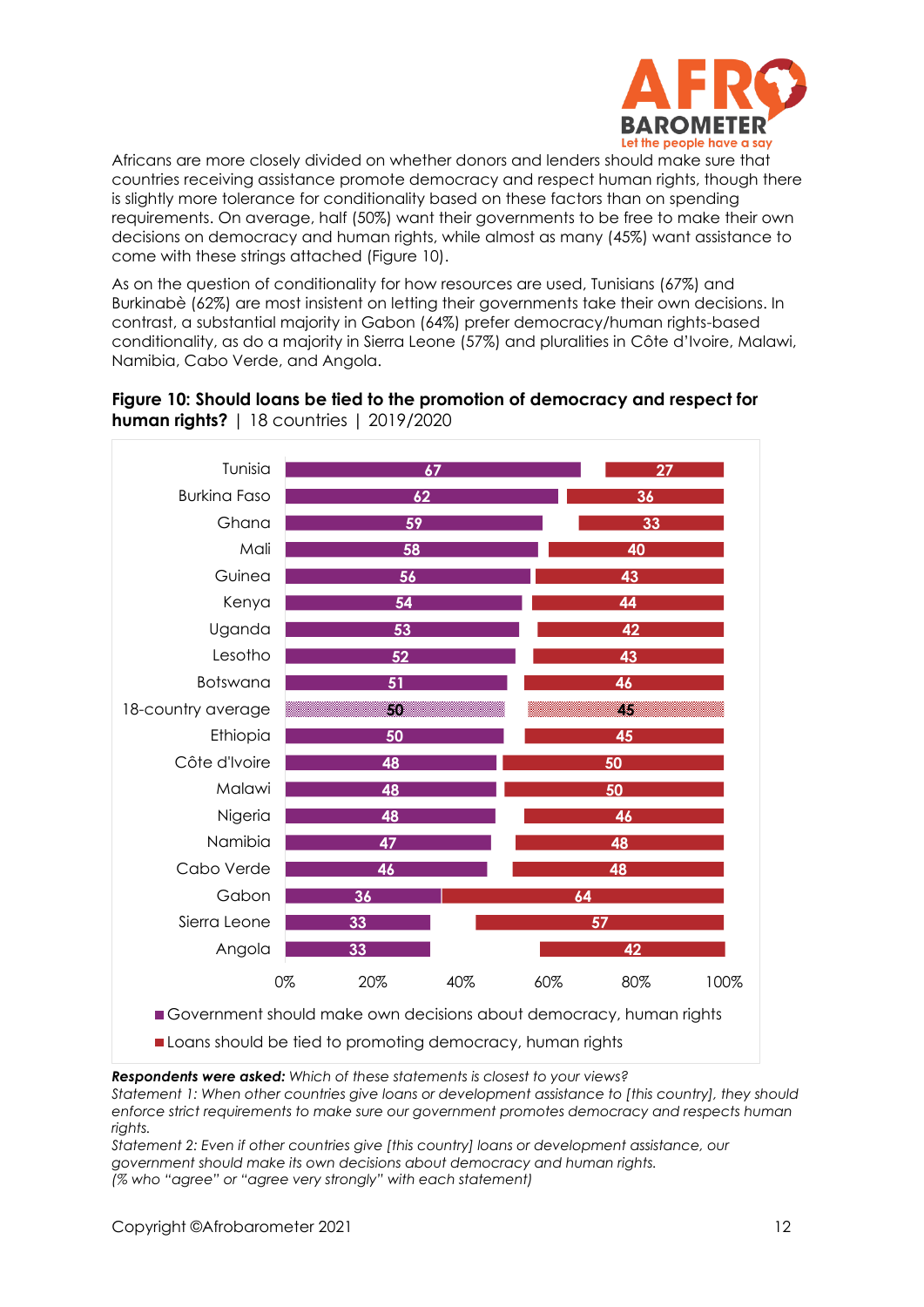

Africans are more closely divided on whether donors and lenders should make sure that countries receiving assistance promote democracy and respect human rights, though there is slightly more tolerance for conditionality based on these factors than on spending requirements. On average, half (50%) want their governments to be free to make their own decisions on democracy and human rights, while almost as many (45%) want assistance to come with these strings attached (Figure 10).

As on the question of conditionality for how resources are used, Tunisians (67%) and Burkinabè (62%) are most insistent on letting their governments take their own decisions. In contrast, a substantial majority in Gabon (64%) prefer democracy/human rights-based conditionality, as do a majority in Sierra Leone (57%) and pluralities in Côte d'Ivoire, Malawi, Namibia, Cabo Verde, and Angola.



### **Figure 10: Should loans be tied to the promotion of democracy and respect for human rights?** | 18 countries | 2019/2020

*Respondents were asked: Which of these statements is closest to your views?* 

*Statement 1: When other countries give loans or development assistance to [this country], they should enforce strict requirements to make sure our government promotes democracy and respects human rights.* 

*Statement 2: Even if other countries give [this country] loans or development assistance, our government should make its own decisions about democracy and human rights. (% who "agree" or "agree very strongly" with each statement)*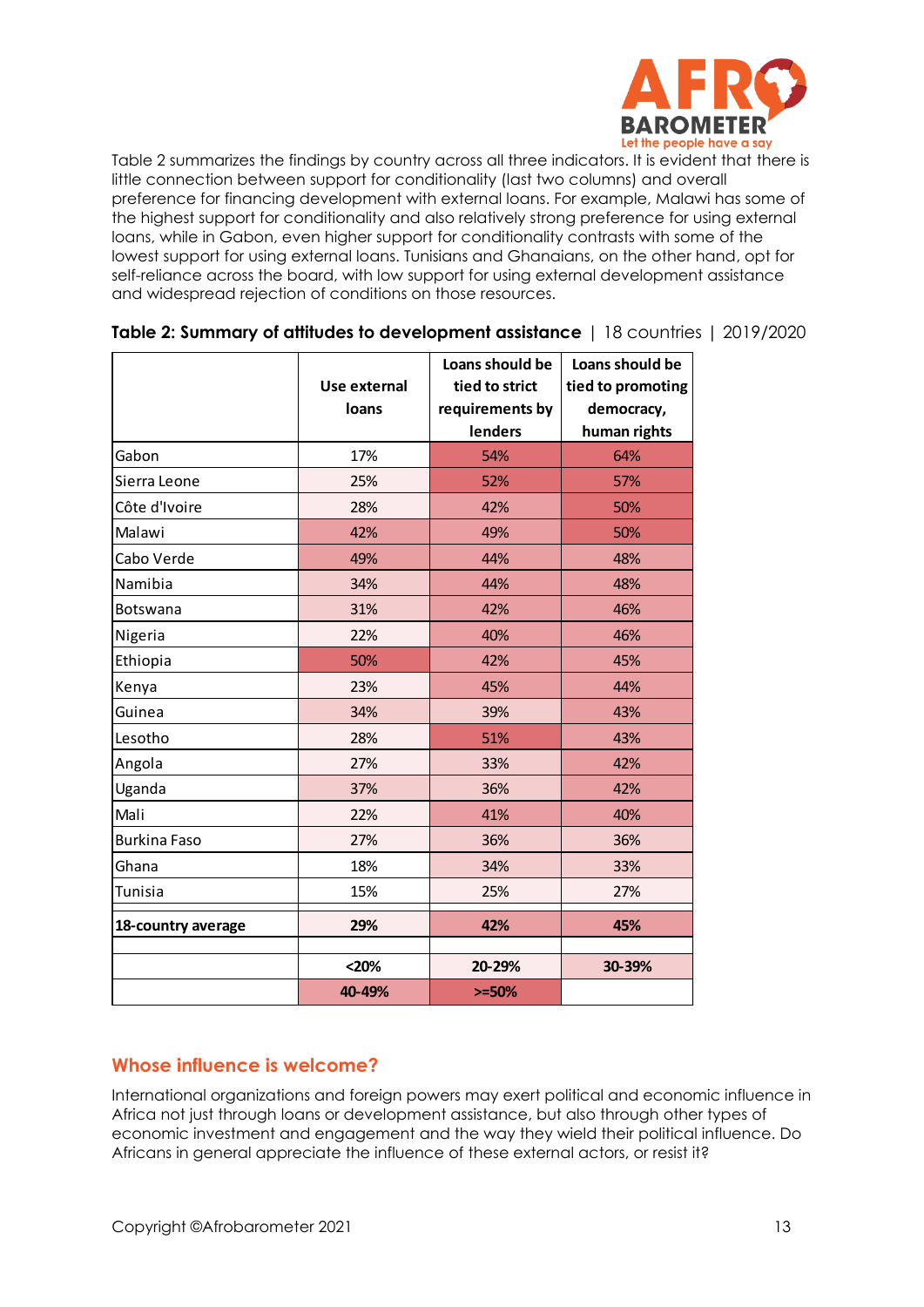

Table 2 summarizes the findings by country across all three indicators. It is evident that there is little connection between support for conditionality (last two columns) and overall preference for financing development with external loans. For example, Malawi has some of the highest support for conditionality and also relatively strong preference for using external loans, while in Gabon, even higher support for conditionality contrasts with some of the lowest support for using external loans. Tunisians and Ghanaians, on the other hand, opt for self-reliance across the board, with low support for using external development assistance and widespread rejection of conditions on those resources.

|                     |              | Loans should be | Loans should be   |  |
|---------------------|--------------|-----------------|-------------------|--|
|                     | Use external | tied to strict  | tied to promoting |  |
|                     | loans        | requirements by | democracy,        |  |
|                     |              | lenders         | human rights      |  |
| Gabon               | 17%          | 54%             | 64%               |  |
| Sierra Leone        | 25%          | 52%             | 57%               |  |
| Côte d'Ivoire       | 28%          | 42%             | 50%               |  |
| Malawi              | 42%          | 49%             | 50%               |  |
| Cabo Verde          | 49%          | 44%             | 48%               |  |
| Namibia             | 34%          | 44%             | 48%               |  |
| <b>Botswana</b>     | 31%          | 42%             | 46%               |  |
| Nigeria             | 22%          | 40%             | 46%               |  |
| Ethiopia            | 50%          | 42%             | 45%               |  |
| Kenya               | 23%          | 45%             | 44%               |  |
| Guinea              | 34%          | 39%             | 43%               |  |
| Lesotho             | 28%          | 51%             | 43%               |  |
| Angola              | 27%          | 33%             | 42%               |  |
| Uganda              | 37%          | 36%             | 42%               |  |
| Mali                | 22%          | 41%             | 40%               |  |
| <b>Burkina Faso</b> | 27%          | 36%             | 36%               |  |
| Ghana               | 18%          | 34%             | 33%               |  |
| Tunisia             | 15%          | 25%             | 27%               |  |
| 18-country average  | 29%          | 42%             | 45%               |  |
|                     | $20%$        | 20-29%          | 30-39%            |  |
|                     | 40-49%       | $>=50%$         |                   |  |

#### **Table 2: Summary of attitudes to development assistance** | 18 countries | 2019/2020

### **Whose influence is welcome?**

International organizations and foreign powers may exert political and economic influence in Africa not just through loans or development assistance, but also through other types of economic investment and engagement and the way they wield their political influence. Do Africans in general appreciate the influence of these external actors, or resist it?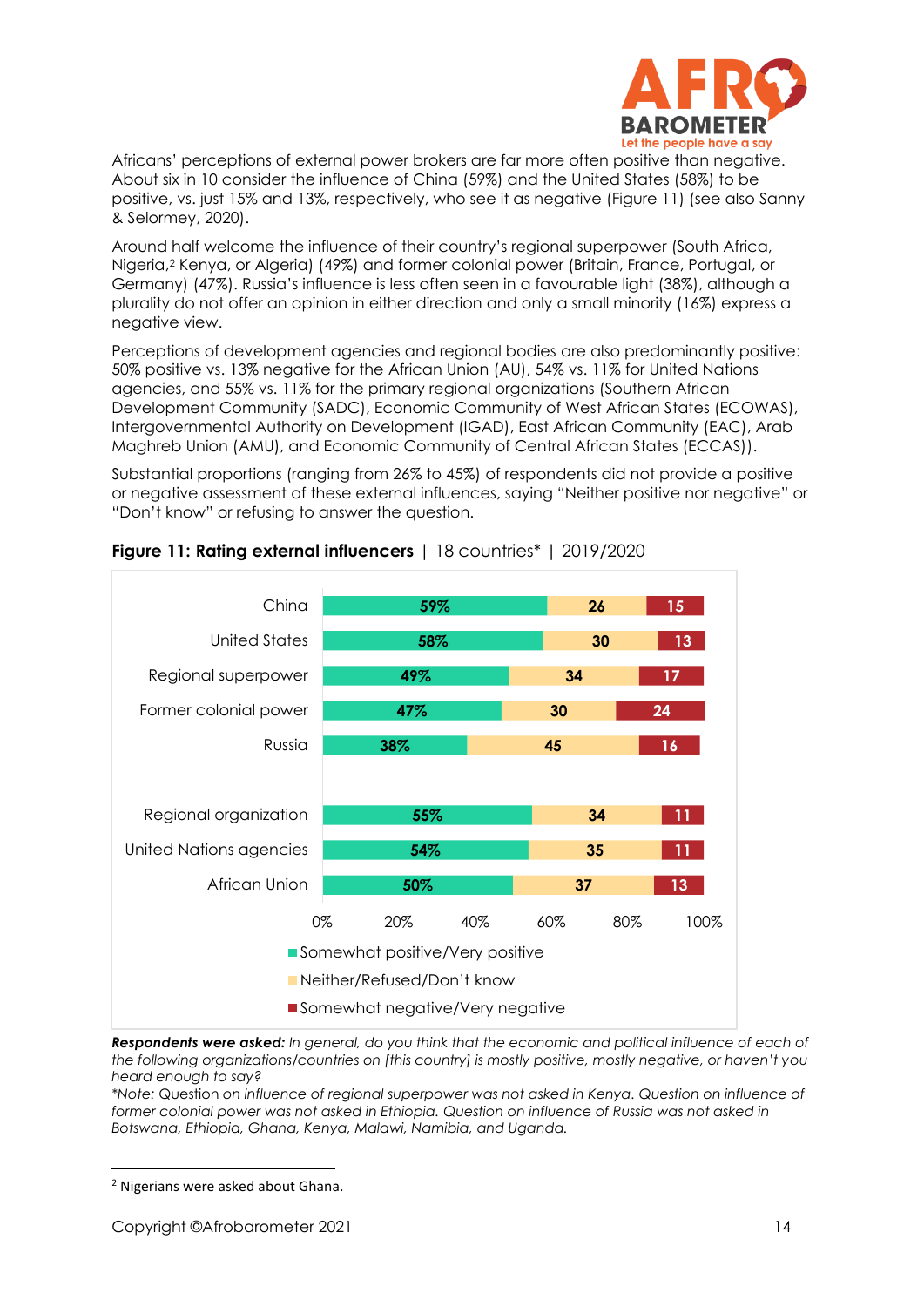

Africans' perceptions of external power brokers are far more often positive than negative. About six in 10 consider the influence of China (59%) and the United States (58%) to be positive, vs. just 15% and 13%, respectively, who see it as negative (Figure 11) (see also Sanny & Selormey, 2020).

Around half welcome the influence of their country's regional superpower (South Africa, Nigeria,<sup>2</sup> Kenya, or Algeria) (49%) and former colonial power (Britain, France, Portugal, or Germany) (47%). Russia's influence is less often seen in a favourable light (38%), although a plurality do not offer an opinion in either direction and only a small minority (16%) express a negative view.

Perceptions of development agencies and regional bodies are also predominantly positive: 50% positive vs. 13% negative for the African Union (AU), 54% vs. 11% for United Nations agencies, and 55% vs. 11% for the primary regional organizations (Southern African Development Community (SADC), Economic Community of West African States (ECOWAS), Intergovernmental Authority on Development (IGAD), East African Community (EAC), Arab Maghreb Union (AMU), and Economic Community of Central African States (ECCAS)).

Substantial proportions (ranging from 26% to 45%) of respondents did not provide a positive or negative assessment of these external influences, saying "Neither positive nor negative" or "Don't know" or refusing to answer the question.



### **Figure 11: Rating external influencers** | 18 countries\* | 2019/2020

*Respondents were asked: In general, do you think that the economic and political influence of each of the following organizations/countries on [this country] is mostly positive, mostly negative, or haven't you heard enough to say?* 

*\*Note:* Question *on influence of regional superpower was not asked in Kenya. Question on influence of*  former colonial power was not asked in Ethiopia. Question on influence of Russia was not asked in *Botswana, Ethiopia, Ghana, Kenya, Malawi, Namibia, and Uganda.*

<sup>2</sup> Nigerians were asked about Ghana.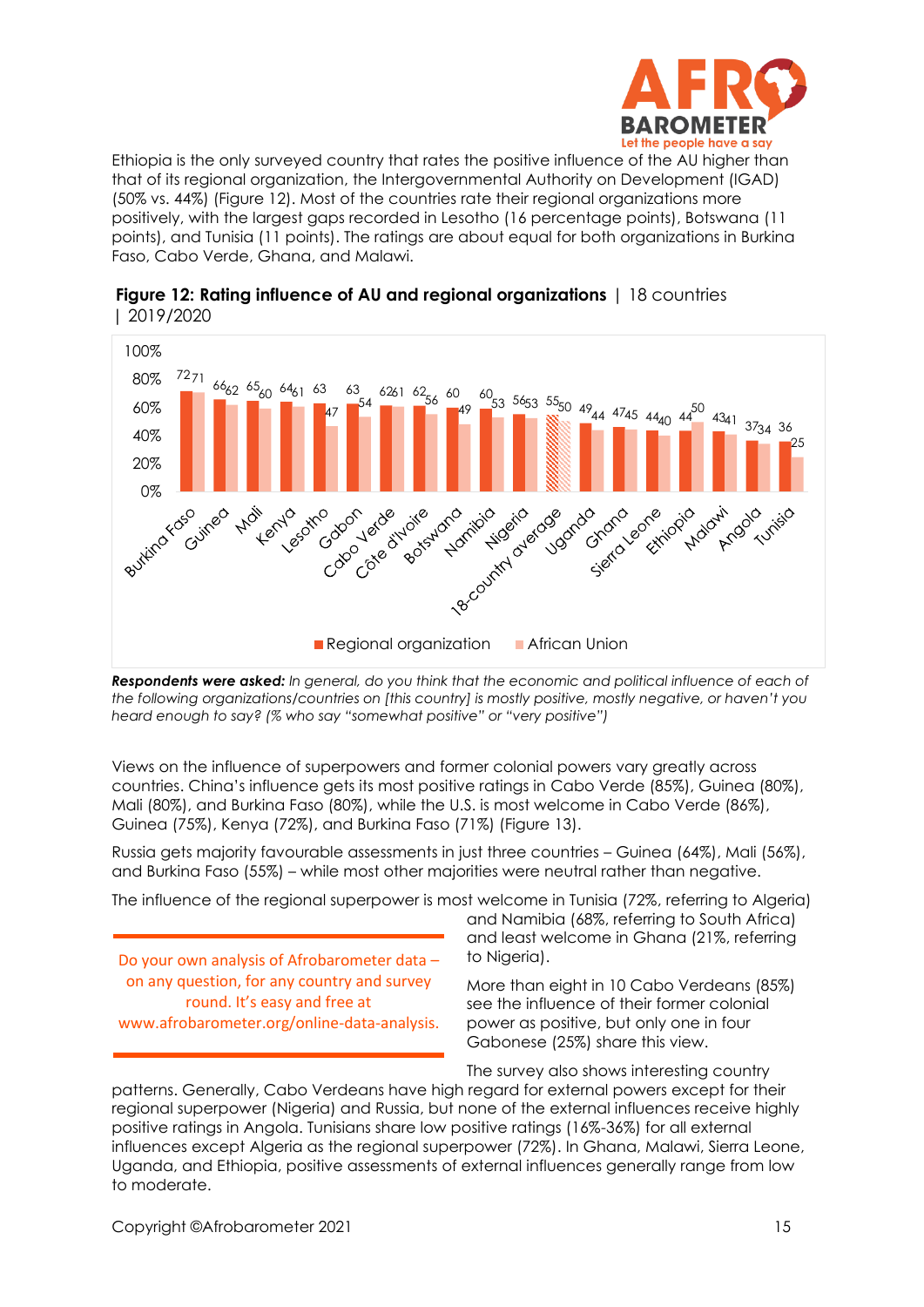

Ethiopia is the only surveyed country that rates the positive influence of the AU higher than that of its regional organization, the Intergovernmental Authority on Development (IGAD) (50% vs. 44%) (Figure 12). Most of the countries rate their regional organizations more positively, with the largest gaps recorded in Lesotho (16 percentage points), Botswana (11 points), and Tunisia (11 points). The ratings are about equal for both organizations in Burkina Faso, Cabo Verde, Ghana, and Malawi.



**Figure 12: Rating influence of AU and regional organizations** | 18 countries | 2019/2020

*Respondents were asked: In general, do you think that the economic and political influence of each of the following organizations/countries on [this country] is mostly positive, mostly negative, or haven't you heard enough to say? (% who say "somewhat positive" or "very positive")*

Views on the influence of superpowers and former colonial powers vary greatly across countries. China's influence gets its most positive ratings in Cabo Verde (85%), Guinea (80%), Mali (80%), and Burkina Faso (80%), while the U.S. is most welcome in Cabo Verde (86%), Guinea (75%), Kenya (72%), and Burkina Faso (71%) (Figure 13).

Russia gets majority favourable assessments in just three countries – Guinea (64%), Mali (56%), and Burkina Faso (55%) – while most other majorities were neutral rather than negative.

The influence of the regional superpower is most welcome in Tunisia (72%, referring to Algeria)

Do your own analysis of Afrobarometer data – on any question, for any country and survey round. It's easy and free at www.afrobarometer.org/online-data-analysis. and Namibia (68%, referring to South Africa) and least welcome in Ghana (21%, referring to Nigeria).

More than eight in 10 Cabo Verdeans (85%) see the influence of their former colonial power as positive, but only one in four Gabonese (25%) share this view.

The survey also shows interesting country

patterns. Generally, Cabo Verdeans have high regard for external powers except for their regional superpower (Nigeria) and Russia, but none of the external influences receive highly positive ratings in Angola. Tunisians share low positive ratings (16%-36%) for all external influences except Algeria as the regional superpower (72%). In Ghana, Malawi, Sierra Leone, Uganda, and Ethiopia, positive assessments of external influences generally range from low to moderate.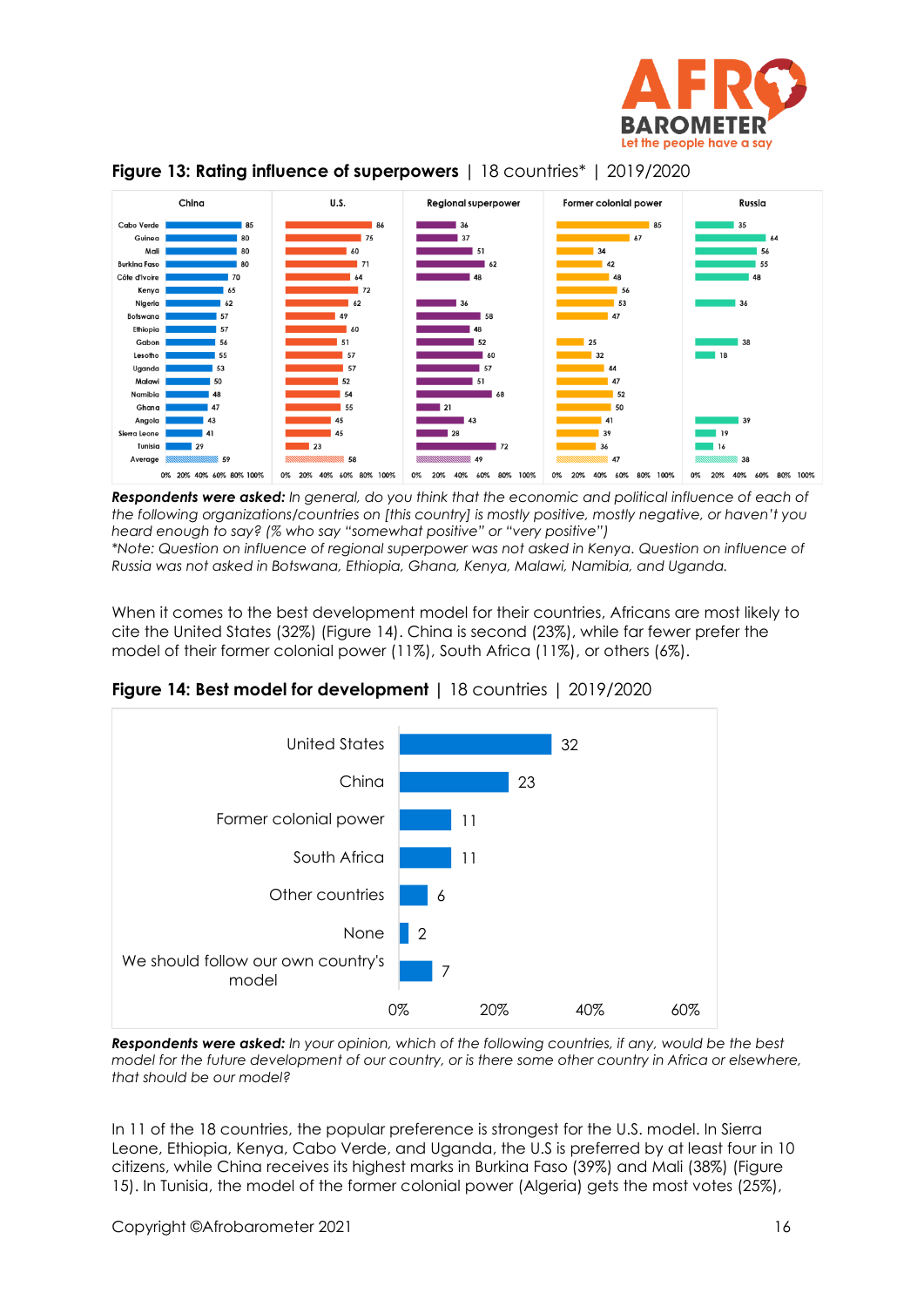



### **Figure 13: Rating influence of superpowers** | 18 countries\* | 2019/2020

*Respondents were asked: In general, do you think that the economic and political influence of each of the following organizations/countries on [this country] is mostly positive, mostly negative, or haven't you heard enough to say? (% who say "somewhat positive" or "very positive")* 

*\*Note: Question on influence of regional superpower was not asked in Kenya. Question on influence of Russia was not asked in Botswana, Ethiopia, Ghana, Kenya, Malawi, Namibia, and Uganda.*

When it comes to the best development model for their countries, Africans are most likely to cite the United States (32%) (Figure 14). China is second (23%), while far fewer prefer the model of their former colonial power (11%), South Africa (11%), or others (6%).



**Figure 14: Best model for development |** 18 countries | 2019/2020

*Respondents were asked: In your opinion, which of the following countries, if any, would be the best model for the future development of our country, or is there some other country in Africa or elsewhere, that should be our model?*

In 11 of the 18 countries, the popular preference is strongest for the U.S. model. In Sierra Leone, Ethiopia, Kenya, Cabo Verde, and Uganda, the U.S is preferred by at least four in 10 citizens, while China receives its highest marks in Burkina Faso (39%) and Mali (38%) (Figure 15). In Tunisia, the model of the former colonial power (Algeria) gets the most votes (25%),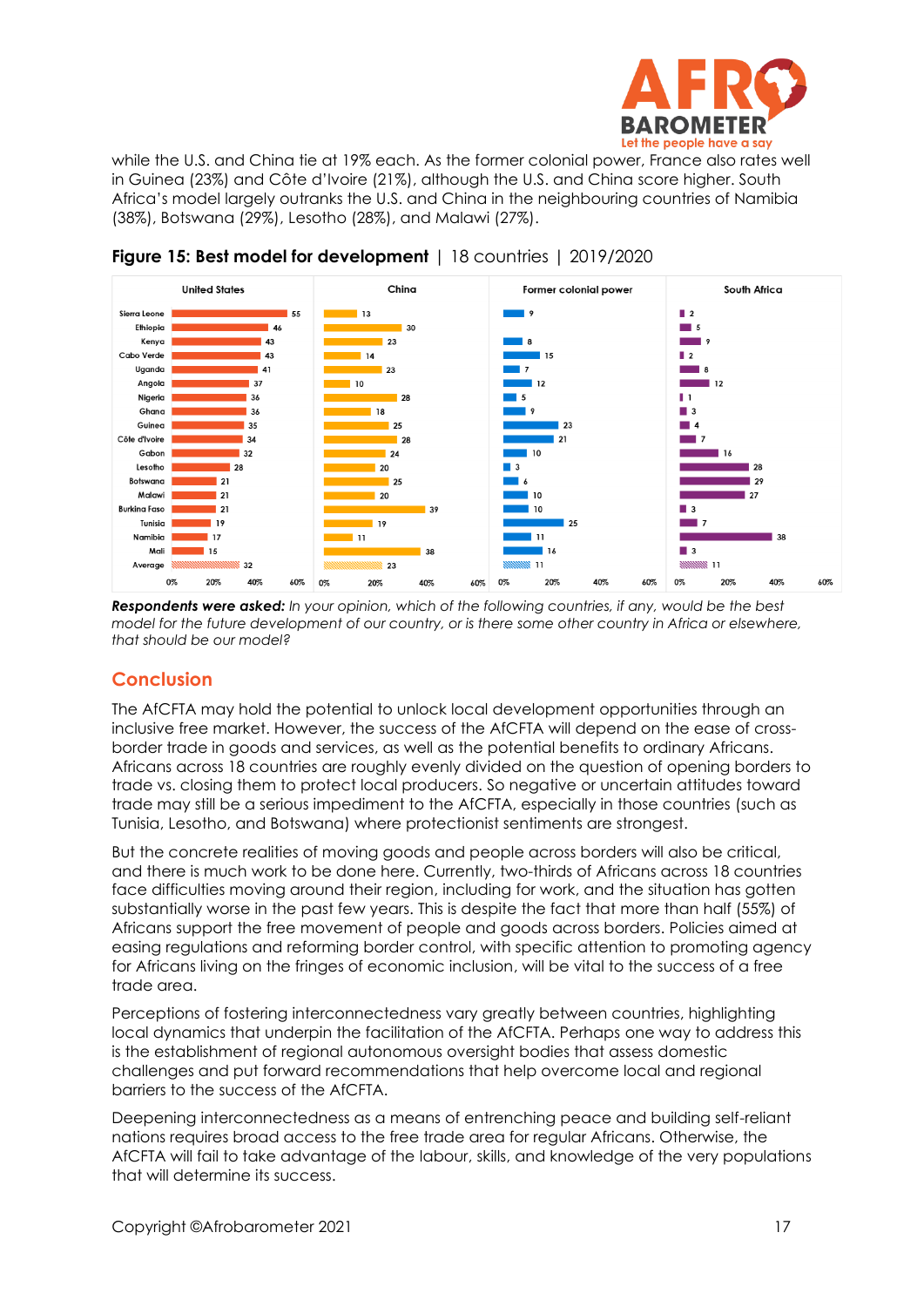

while the U.S. and China tie at 19% each. As the former colonial power, France also rates well in Guinea (23%) and Côte d'Ivoire (21%), although the U.S. and China score higher. South Africa's model largely outranks the U.S. and China in the neighbouring countries of Namibia (38%), Botswana (29%), Lesotho (28%), and Malawi (27%).



**Figure 15: Best model for development** | 18 countries | 2019/2020

*Respondents were asked: In your opinion, which of the following countries, if any, would be the best model for the future development of our country, or is there some other country in Africa or elsewhere, that should be our model?*

# **Conclusion**

The AfCFTA may hold the potential to unlock local development opportunities through an inclusive free market. However, the success of the AfCFTA will depend on the ease of crossborder trade in goods and services, as well as the potential benefits to ordinary Africans. Africans across 18 countries are roughly evenly divided on the question of opening borders to trade vs. closing them to protect local producers. So negative or uncertain attitudes toward trade may still be a serious impediment to the AfCFTA, especially in those countries (such as Tunisia, Lesotho, and Botswana) where protectionist sentiments are strongest.

But the concrete realities of moving goods and people across borders will also be critical, and there is much work to be done here. Currently, two-thirds of Africans across 18 countries face difficulties moving around their region, including for work, and the situation has gotten substantially worse in the past few years. This is despite the fact that more than half (55%) of Africans support the free movement of people and goods across borders. Policies aimed at easing regulations and reforming border control, with specific attention to promoting agency for Africans living on the fringes of economic inclusion, will be vital to the success of a free trade area.

Perceptions of fostering interconnectedness vary greatly between countries, highlighting local dynamics that underpin the facilitation of the AfCFTA. Perhaps one way to address this is the establishment of regional autonomous oversight bodies that assess domestic challenges and put forward recommendations that help overcome local and regional barriers to the success of the AfCFTA.

Deepening interconnectedness as a means of entrenching peace and building self-reliant nations requires broad access to the free trade area for regular Africans. Otherwise, the AfCFTA will fail to take advantage of the labour, skills, and knowledge of the very populations that will determine its success.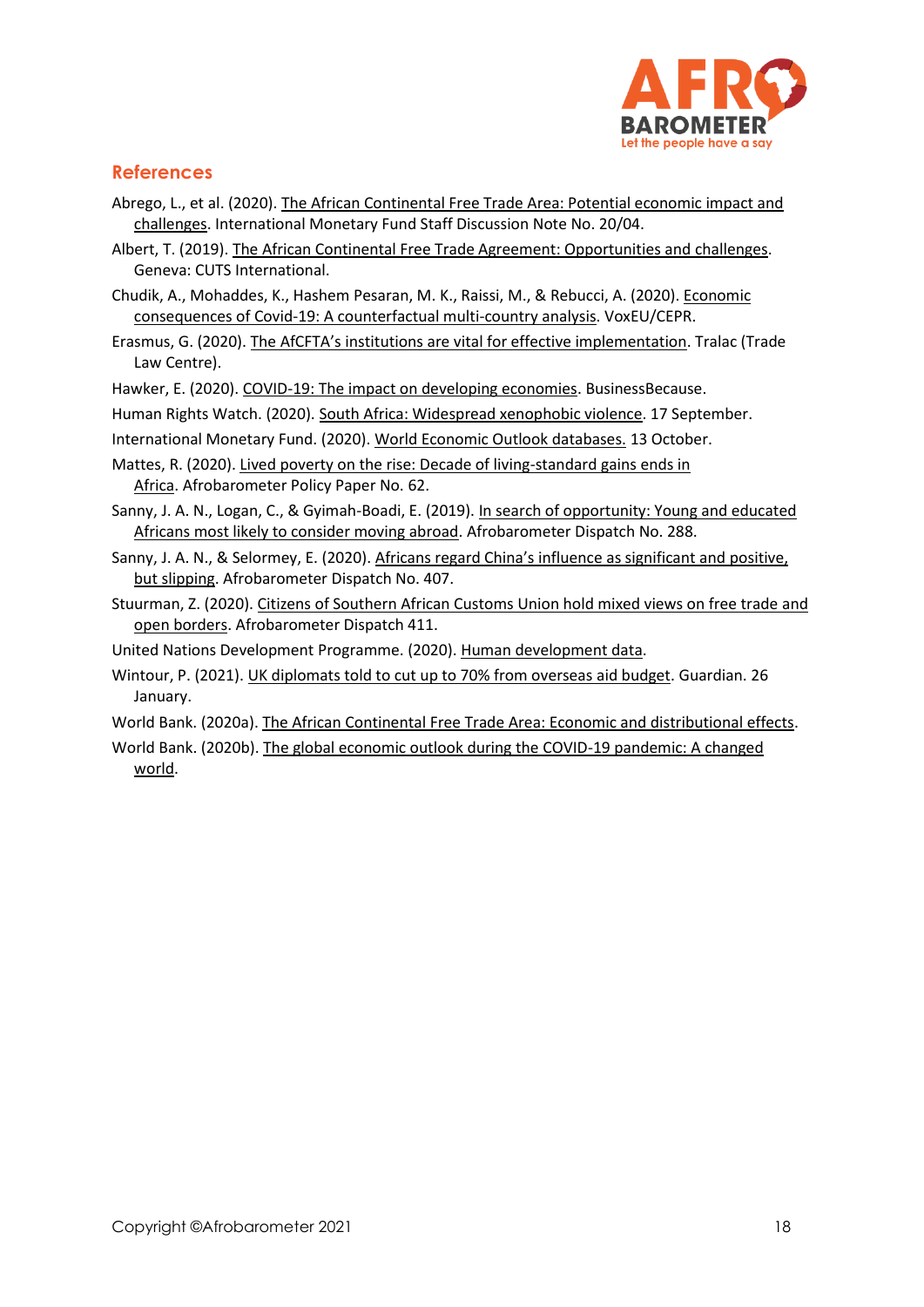

## **References**

- Abrego, L., et al. (2020). The African Continental Free Trade Area: Potential economic impact and [challenges.](https://www.imf.org/en/Publications/Staff-Discussion-Notes/Issues/2020/05/13/The-African-Continental-Free-Trade-Area-Potential-Economic-Impact-and-Challenges-46235) International Monetary Fund Staff Discussion Note No. 20/04.
- Albert, T. (2019). [The African Continental Free Trade Agreement: Opportunities and](https://www.tralac.org/documents/resources/cfta/3181-afcfta-opportunities-and-challenges-cuts-international-study-2019/file.html) challenges. Geneva: CUTS International.
- Chudik, A., Mohaddes, K., Hashem Pesaran, M. K., Raissi, M., & Rebucci, A. (2020). [Economic](https://voxeu.org/article/economic-consequences-covid-19-multi-country-analysis)  [consequences of Covid-19: A counterfactual multi-country analysis.](https://voxeu.org/article/economic-consequences-covid-19-multi-country-analysis) VoxEU/CEPR.
- Erasmus, G. (2020). [The AfCFTA's institutions are vital for effective implementation](https://www.tralac.org/blog/article/14805-the-afcfta-s-institutions-are-vital-for-effective-implementation.html). Tralac (Trade Law Centre).
- Hawker, E. (2020). [COVID-19: The impact on developing economies.](https://www.businessbecause.com/news/insights/7052/covid-19-impact-on-developing%20economies#:~:text=The%20Covid%2D19%20crisis%2C%20which,now%20spreading%20into%20developing%20countries.&text=As%20a%20result%2C%20developing%20countries,Nations%20Development%20Program%20(UNDP).) BusinessBecause.

Human Rights Watch. (2020)[. South Africa: Widespread xenophobic violence.](https://www.hrw.org/news/2020/09/17/south-africa-widespread-xenophobic-violence) 17 September.

International Monetary Fund. (2020). [World Economic Outlook databases.](https://www.imf.org/en/Publications/SPROLLs/world-economic-outlook-databases#sort=%40imfdate%20descending) 13 October.

- Mattes, R. (2020). [Lived poverty on the rise: Decade of living-standard gains ends in](http://afrobarometer.org/publications/pp62-lived-poverty-rise-decade-living-standard-gains-ends-africa)  [Africa.](http://afrobarometer.org/publications/pp62-lived-poverty-rise-decade-living-standard-gains-ends-africa) Afrobarometer Policy Paper No. 62.
- Sanny, J. A. N., Logan, C., & Gyimah-Boadi, E. (2019). [In search of opportunity: Young and educated](https://afrobarometer.org/publications/ad288-search-opportunity-young-and-educated-africans-most-likely-consider-moving-abroad)  [Africans most likely to consider moving abroad.](https://afrobarometer.org/publications/ad288-search-opportunity-young-and-educated-africans-most-likely-consider-moving-abroad) Afrobarometer Dispatch No. 288.
- Sanny, J. A. N., & Selormey, E. (2020). [Africans regard China's influence as significant and](https://afrobarometer.org/publications/ad407-africans-regard-chinas-influence-significant-and-positive-slipping) positive, [but slipping.](https://afrobarometer.org/publications/ad407-africans-regard-chinas-influence-significant-and-positive-slipping) Afrobarometer Dispatch No. 407.
- Stuurman, Z. (2020). [Citizens of Southern African Customs Union hold mixed views on free trade and](https://afrobarometer.org/sites/default/files/publications/Dispatches/ad411-citizens_of_sacu_countries_hold_mixed_views_on_free_trade-afrobarometer_dispatch-9dec20.pdf)  [open borders.](https://afrobarometer.org/sites/default/files/publications/Dispatches/ad411-citizens_of_sacu_countries_hold_mixed_views_on_free_trade-afrobarometer_dispatch-9dec20.pdf) Afrobarometer Dispatch 411.
- United Nations Development Programme. (2020). [Human development data.](http://www.hdr.undp.org/)
- Wintour, P. (2021). [UK diplomats told to cut up to 70% from overseas aid budget.](https://www.theguardian.com/global-development/2021/jan/26/uk-cut-overseas-aid-budget-costs) Guardian. 26 January.
- World Bank. (2020a). [The African Continental Free Trade Area: Economic and distributional effects.](https://openknowledge.worldbank.org/bitstream/handle/10986/34139/9781464815591.pdf)
- World Bank. (2020b). [The global economic outlook during the COVID-19 pandemic: A changed](https://www.worldbank.org/en/news/feature/2020/06/08/the-global-economic-outlook-during-the-covid-19-pandemic-a-changed-world)  [world.](https://www.worldbank.org/en/news/feature/2020/06/08/the-global-economic-outlook-during-the-covid-19-pandemic-a-changed-world)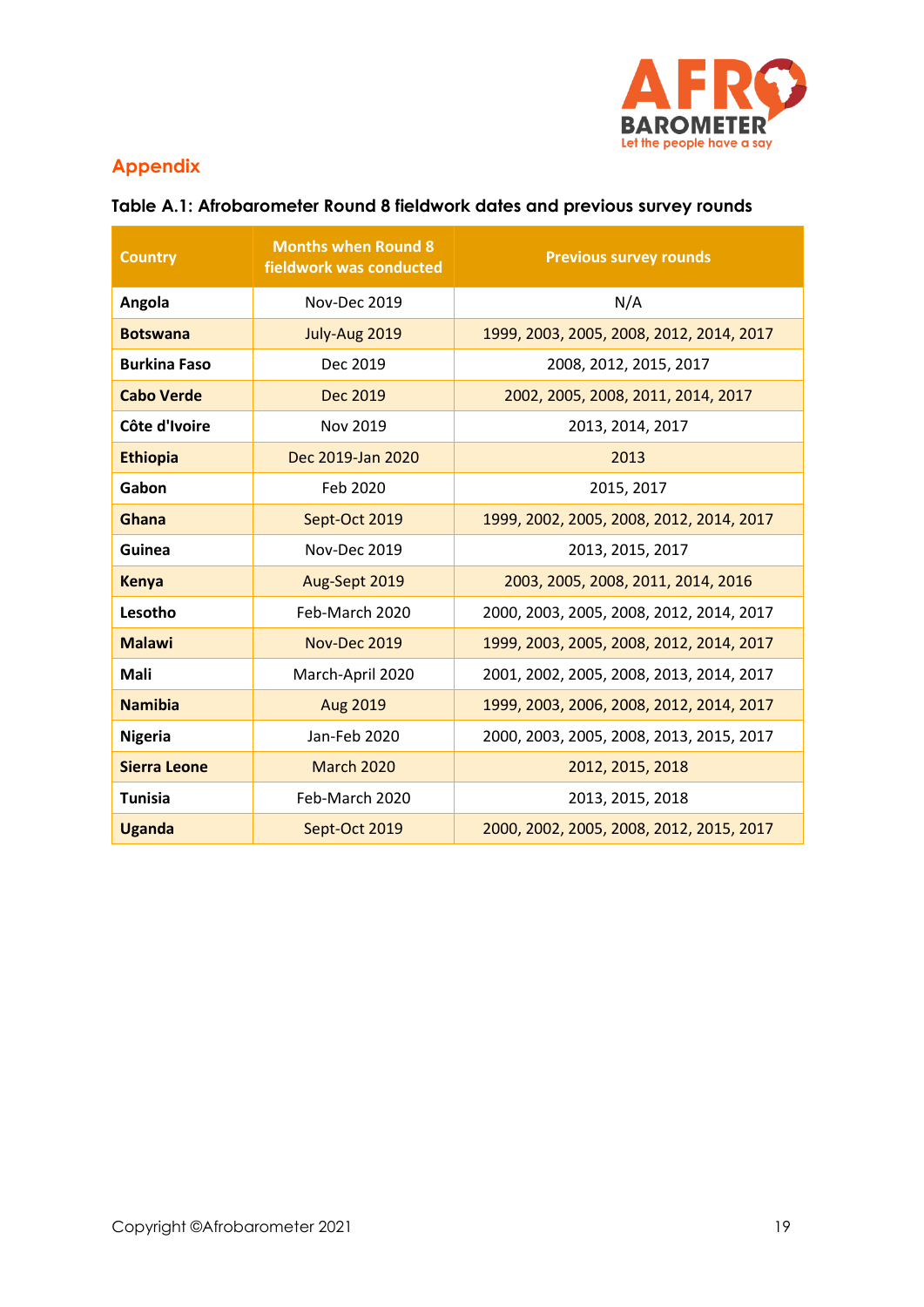

# **Appendix**

| <b>Country</b>      | <b>Months when Round 8</b><br>fieldwork was conducted | <b>Previous survey rounds</b>            |
|---------------------|-------------------------------------------------------|------------------------------------------|
| Angola              | Nov-Dec 2019                                          | N/A                                      |
| <b>Botswana</b>     | July-Aug 2019                                         | 1999, 2003, 2005, 2008, 2012, 2014, 2017 |
| <b>Burkina Faso</b> | Dec 2019                                              | 2008, 2012, 2015, 2017                   |
| <b>Cabo Verde</b>   | <b>Dec 2019</b>                                       | 2002, 2005, 2008, 2011, 2014, 2017       |
| Côte d'Ivoire       | Nov 2019                                              | 2013, 2014, 2017                         |
| <b>Ethiopia</b>     | Dec 2019-Jan 2020                                     | 2013                                     |
| Gabon               | Feb 2020                                              | 2015, 2017                               |
| Ghana               | Sept-Oct 2019                                         | 1999, 2002, 2005, 2008, 2012, 2014, 2017 |
| Guinea              | Nov-Dec 2019                                          | 2013, 2015, 2017                         |
| <b>Kenya</b>        | Aug-Sept 2019                                         | 2003, 2005, 2008, 2011, 2014, 2016       |
| Lesotho             | Feb-March 2020                                        | 2000, 2003, 2005, 2008, 2012, 2014, 2017 |
| <b>Malawi</b>       | Nov-Dec 2019                                          | 1999, 2003, 2005, 2008, 2012, 2014, 2017 |
| Mali                | March-April 2020                                      | 2001, 2002, 2005, 2008, 2013, 2014, 2017 |
| <b>Namibia</b>      | Aug 2019                                              | 1999, 2003, 2006, 2008, 2012, 2014, 2017 |
| <b>Nigeria</b>      | Jan-Feb 2020                                          | 2000, 2003, 2005, 2008, 2013, 2015, 2017 |
| <b>Sierra Leone</b> | <b>March 2020</b>                                     | 2012, 2015, 2018                         |
| <b>Tunisia</b>      | Feb-March 2020                                        | 2013, 2015, 2018                         |
| <b>Uganda</b>       | Sept-Oct 2019                                         | 2000, 2002, 2005, 2008, 2012, 2015, 2017 |

# **Table A.1: Afrobarometer Round 8 fieldwork dates and previous survey rounds**